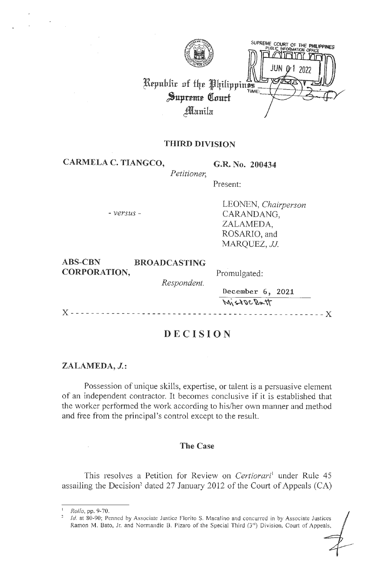SUPREME COURT OF THE PHILIPPINES Republic of the Philippines Supreme Court Manila

# **THIRD DIVISION**

**CARMELA C. TIANGCO, G.R. No. 200434** 

*Petitioner,* 

Present:

- *versus* -

LEONEN, *Chairperson*  CARANDANG, ZALAMEDA, ROSARIO, and *MARQUEZ, JJ.* 

|                     |                     | MistocBatt       |  |
|---------------------|---------------------|------------------|--|
|                     |                     | December 6, 2021 |  |
|                     | Respondent.         |                  |  |
| <b>CORPORATION,</b> | Promulgated:        |                  |  |
| <b>ABS-CBN</b>      | <b>BROADCASTING</b> |                  |  |

# **DECISION**

## **ZALAMEDA, J.:**

Possession of unique skills, expertise, or talent is a persuasive element of an independent contractor. It becomes conclusive if it is established that the worker performed the work according to his/her own manner and method and free from the principal 's control except to the result.

## **The Case**

This resolves a Petition for Review on *Certiorari*<sup>1</sup> under Rule 45 assailing the Decision<sup>2</sup> dated 27 January 2012 of the Court of Appeals (CA)

*Id.* at 80-90; Penned by Associate Justice Florito S. Macalino and concurred in by Associate Justices Ramon M. Bato, Jr. and Normandie B. Pizaro of the Special Third (3<sup>rd</sup>) Division, Court of Appeals,

<sup>1</sup>*Rollo,* pp. 9-70.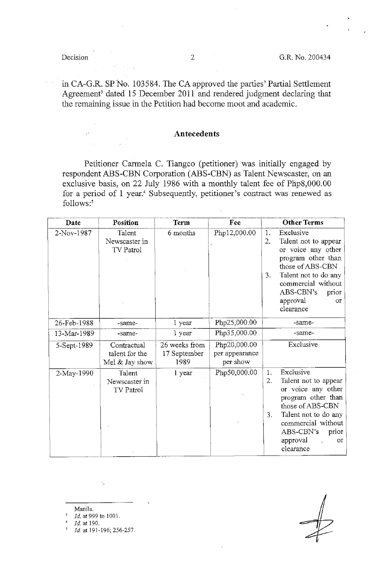in CA-G.R. SP No. 103584. The CA approved the parties' Partial Settlement Agreement' dated 15 December 2011 and rendered judgment declaring that the remaining issue in the Petition had become moot and academic.

## **Antecedents**

Petitioner Carmela C. Tiangco (petitioner) was initially engaged by respondent ABS-CBN Corporation (ABS-CBN) as Talent Newscaster, on an exclusive basis, on 22 July 1986 with a monthly talent fee of Php8,000.00 for a period of 1 year.<sup>4</sup> Subsequently, petitioner's contract was renewed as follows:'

| Date        | Position                                          | Term                                  | Fee                                        | <b>Other Terms</b>                                                                                                                                                                                                            |
|-------------|---------------------------------------------------|---------------------------------------|--------------------------------------------|-------------------------------------------------------------------------------------------------------------------------------------------------------------------------------------------------------------------------------|
| 2-Nov-1987  | Talent<br>Newscaster in<br><b>TV Patrol</b>       | 6 months                              | Php12,000.00                               | Exclusive<br>1.<br>2.<br>Talent not to appear<br>or voice any other<br>program other than<br>those of ABS-CBN<br>3.<br>Talent not to do any<br>commercial without<br>ABS-CBN's<br>prior<br>approval<br>$O\Gamma$<br>clearance |
| 26-Feb-1988 | -same-                                            | 1 year                                | Php25,000.00                               | -same-                                                                                                                                                                                                                        |
| 13-Mar-1989 | -same-                                            | 1 year                                | Php35,000.00                               | -same-                                                                                                                                                                                                                        |
| 5-Sept-1989 | Contractual<br>talent for the<br>Mel $&$ Jay show | 26 weeks from<br>17 September<br>1989 | Php20,000.00<br>per appearance<br>per show | Exclusive                                                                                                                                                                                                                     |
| 2-May-1990  | Talent<br>Newscaster in<br><b>TV Patrol</b>       | 1 year                                | Php50,000.00                               | Exclusive<br>1.<br>2.<br>Talent not to appear<br>or voice any other<br>program other than<br>those of ABS-CBN<br>Talent not to do any<br>3.<br>commercial without<br>ABS-CBN's<br>prior<br>approval<br>or<br>clearance        |

Manila.

Id. at 999 to 1001.

' *Id.* at 190.

<sup>5</sup>*Id.* at 191-196; 256-257.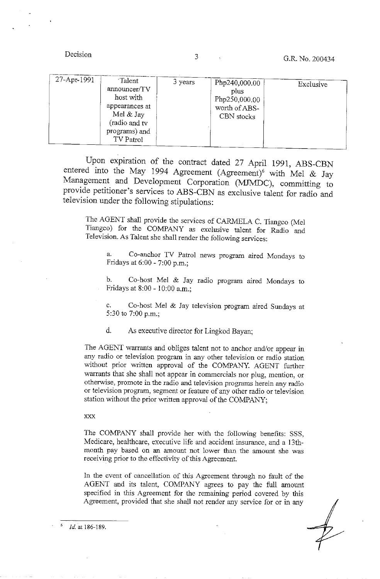| 27-Apr-1991<br>Talent<br>announcer/TV<br>host with<br>appearances at<br>Mel $&$ Jay<br>(radio and tv<br>programs) and<br>TV Patrol | 3 years | Php240,000.00<br>plus<br>Php250,000.00<br>worth of ABS-<br>CBN stocks | Exclusive |
|------------------------------------------------------------------------------------------------------------------------------------|---------|-----------------------------------------------------------------------|-----------|
|------------------------------------------------------------------------------------------------------------------------------------|---------|-----------------------------------------------------------------------|-----------|

Upon expiration of the contract dated 27 April 1991, ABS-CBN entered into the May 1994 Agreement (Agreement)<sup>6</sup> with Mel & Jay Management and Development Corporation (MJMDC), committing to provide petitioner's services to ABS-CBN as exclusive talent for radio and television under the following stipulations:

The AGENT shall provide the services of CARMELA C. Tiangco (Mel Tiangco) for the COMPANY as exclusive talent for Radio and Television. As Talent she shall render the following services:

a. Co-anchor TV Patrol news program aired Mondays to Fridays at 6:00 - 7:00 p.m.;

b. Co-host Mel & Jay radio program aired Mondays to Fridays at 8:00 - 10:00 a.m.;

c. Co-host Mel & Jay television program aired Sundays at 5:30 to 7:00 p.m.;

d. As executive director for Lingkod Bayan;

The AGENT warrants and obliges talent not to anchor and/or appear in any radio or television program in any other television or radio station without prior written approval of the COMPANY. AGENT further warrants that she shall not appear in commercials nor plug, mention, or otherwise, promote in the radio and television programs herein any radio or television program, segment or feature of any other radio or television station without the prior written approval of the COMPANY;

XXX

The COMPANY shall provide her with the following benefits: SSS, Medicare, healthcare, executive life and accident insurance, and a 13thmonth pay based on an amount not lower than the amount she was receiving prior to the effectivity of this Agreement.

In the event of cancellation of this Agreement through no fault of the AGENT and its talent, COMPANY agrees to pay the full amount specified in this Agreement for the remaining period covered by this Agreement, provided that she shall not render any service for or in any

Id. at 186-189.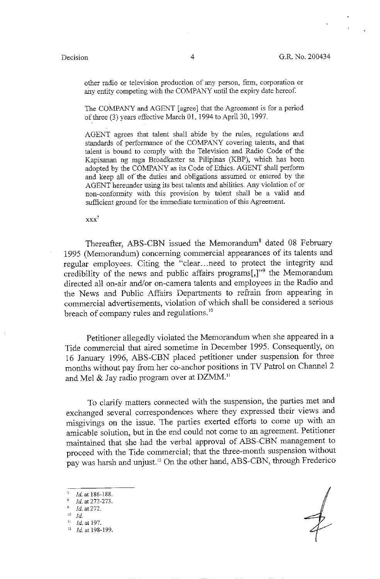other radio or television production of any person, firm, corporation or any entity competing with the COMPANY until the expiry date hereof.

The COMPANY and AGENT [agree] that the Agreement is for a period of three (3) years effective March 01, 1994 to April 30, 1997.

AGENT agrees that talent shall abide by the rules, regulations and standards of performance of the COMPANY covering talents, and that talent is bound to comply with the Television and Radio Code of the Kapisanan ng mga Broadkaster sa Pilipinas (KBP), which has been adopted by the COMPANY as its Code of Ethics. AGENT shall perform and keep all of the duties and obligations assumed or entered by the AGENT hereunder using its best talents and abilities. Any violation of or non-conformity with this provision by talent shall be a valid and sufficient ground for the immediate termination of this Agreement.

 $\boldsymbol{X} \boldsymbol{X} \boldsymbol{X}$ 

Thereafter, ABS-CBN issued the Memorandum<sup>8</sup> dated 08 February 1995 (Memorandum) concerning commercial appearances of its talents and regular employees. Citing the "clear ... need to protect the integrity and credibility of the news and public affairs programs[,]"<sup>9</sup> the Memorandum directed all on-air and/or on-camera talents and employees in the Radio and the News and Public Affairs Departments to refrain from appearing in commercial advertisements, violation of which shall be considered a serious breach of company rules and regulations.<sup>10</sup>

Petitioner allegedly violated the Memorandum when she appeared in a Tide commercial that aired sometime in December 1995. Consequently, on 16 January 1996, ABS-CBN placed petitioner under suspension for three months without pay from her co-anchor positions in TV Patrol on Channel 2 and Mel  $\&$  Jay radio program over at DZMM.<sup>11</sup>

To clarify matters connected with the suspension, the parties met and exchanged several correspondences where they expressed their views and misgivings on the issue. The parties exerted efforts to come up with an amicable solution, but in the end could not come to an agreement. Petitioner maintained that she had the verbal approval of ABS-CBN management to proceed with the Tide commercial; that the three-month suspension without pay was harsh and unjust. 12 On the other hand, ABS-CBN, through Frederico

Id. at 186-188.

<sup>&#</sup>x27; *Id.* at 272-273.

<sup>9</sup>*Id.* at 272.

 $^{10}\;\; Id$ 

<sup>11</sup>*Id.* at 197. 12 *Id.* at 198-199.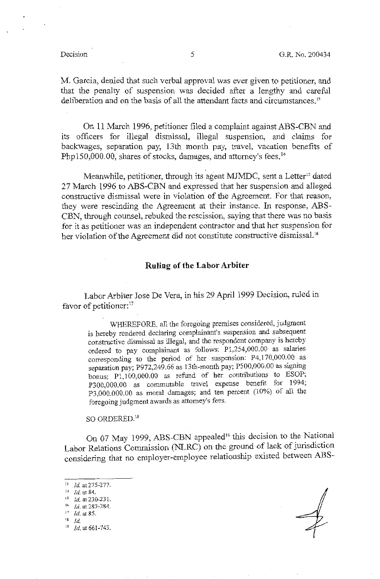M. Garcia, denied that such verbal approval was ever given to petitioner, and that the penalty of suspension was decided after a lengthy and careful deliberation and on the basis of all the attendant facts and circumstances.<sup>13</sup>

On 11 March 1996, petitioner filed a complaint against ABS-CBN and its officers for illegal dismissal, illegal suspension, and claims for backwages, separation pay, 13th month pay, travel, vacation benefits of Php150,000.00, shares of stocks, damages, and attorney's fees.<sup>14</sup>

Meanwhile, petitioner, through its agent MJMDC, sent a Letter<sup>15</sup> dated 27 March 1996 to ABS-CBN and expressed that her suspension and alleged constructive dismissal were in violation of the Agreement. For that reason, they were rescinding the Agreement at their instance. In response, ABS-CBN, through counsel, rebuked the rescission, saying that there was no basis for it as petitioner was an independent contractor and that her suspension for her violation of the Agreement did not constitute constructive dismissal.<sup>16</sup>

### **Ruling of the Labor Arbiter**

Labor Arbiter Jose De Vera, in his 29 April 1999 Decision, ruled in favor of petitioner:<sup>17</sup>

WHEREFORE, all the foregoing premises considered, judgment is hereby rendered declaring complainant's suspension and subsequent constructive dismissal as illegal, and the respondent company is hereby ordered to pay complainant as follows: Pl ,254,000.00 as salaries corresponding to the period of her suspension: P4, 170,000.00 as separation pay; P972,249.66 as 13th-month pay; *PS00,000.00* as signing bonus; Pl,100,000.00 as refund of her contributions to ESOP; P300,000.00 as commutable travel expense benefit for 1994; P3,000.000.00 as moral damages; and ten percent (10%) of all the foregoing judgment awards as attorney's fees.

SO ORDERED.<sup>18</sup>

On 07 May 1999, ABS-CBN appealed<sup>19</sup> this decision to the National Labor Relations Commission (NLRC) on the ground of lack of jurisdiction considering that no employer-employee relationship existed between **ABS-**

- <sup>13</sup>*Id.* at 275-277. 14 id. at 84. 15 *Id.* at 230-23 I. <sup>16</sup> *Id.* at 283-284.  $^{17}$  *Id.* at 85.
- $18$  *Id.*
- <sup>19</sup> *Id.* at 661-743.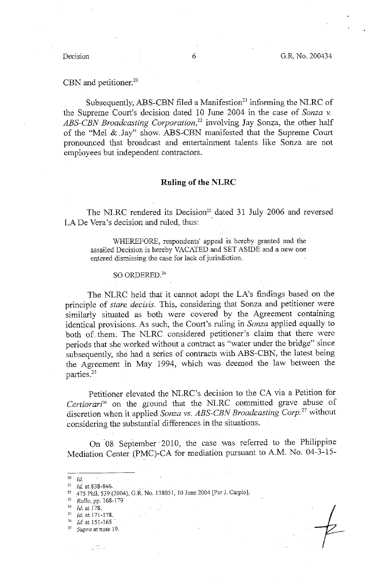## CBN and petitioner.<sup>20</sup>

Subsequently, ABS-CBN filed a Manifestion<sup>21</sup> informing the NLRC of the Supreme Court's decision dated 10 June 2004 in the case of *Sonza v. ABS-CBN Broadcasting Corporation,22* involving Jay Sonza, the other half of the "Mel· & .Jay" show. ABS-CBN manifested that the Supreme Court pronounced that broadcast and entertainment talents like Sonza are not employees but independent contractors.

### **Ruling of the NLRC**

The NLRC rendered its Decision<sup>23</sup> dated 31 July 2006 and reversed LA De Vera's decision and ruled, thus:

\VHEREFORE, respondents' appeal is hereby granted and the assailed Decision is hereby VACATED and SET ASIDE and a new one entered dismissing the case for lack of jurisdiction.

### $SO$  ORDERED.<sup>24</sup>

The NLRC held that it cannot adopt the LA's findings based on the principle of *stare. decisis.* This, considering that Sonza and petitioner were similarly situated as both were covered by the Agreement containing identical provisions. As such, the Court's ruling in *Sonza* applied equally to both of them. The NLRC considered petitioner's claim that there were periods that she worked without a contract as "water under the bridge" since subsequently, she had a series of contracts with ABS-CBN, the latest being the Agreement in May 1994, which was deemed the law between the parties.<sup>25</sup>

Petitioner elevated the NLRC's decision to the CA via a Petition for Certiorari<sup>26</sup> on the ground that the NLRC committed grave abuse of discretion when it applied *Sonza vs. ABS-CBN Broadcasting Corp.* 27 without considering the substantial differences in the situations.

On 08 September 2010, the case was referred to the Philippine Mediation Center {PMC)-CA for mediation pursuant to A.M. No. 04-3-15-

- $^{20}$  *ld.*
- $^{21}$  *Id.* at 838-846,

<sup>23</sup>*Rollo,* pp. 168-179

 $^{24}$  Id. at 178.

 $^{25}$  *Id.* at 171-178.

- $^{26}$  *Id.* at 151-165
- 27 *Supra* at note 19.

 $\mathcal{L}^{\text{max}}_{\text{max}}$ 

<sup>22</sup> 475 Phil. 539 (2004), G.R. No. !38051, 10 June 2004 [Per J. Carpio].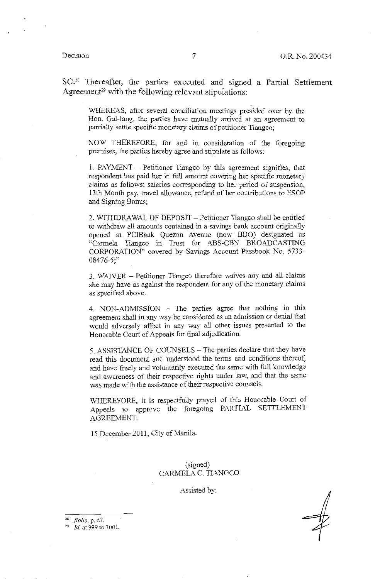SC.28 Thereafter, the parties executed and signed a Partial Settlement Agreement<sup>29</sup> with the following relevant stipulations:

WHEREAS, after several conciliation meetings presided over by the Hon. Gal-Jang, the parties have mutually arrived at an agreement to partially settle specific monetary claims of petitioner Tiangco;

NOW THEREFORE, for and in consideration of the foregoing premises, the parties hereby agree and stipulate as follows:

1. PAYMENT - Petitioner Tiangco by this agreement signifies, that respondent has paid her in full amount covering her specific monetary claims as follows: salaries corresponding to her period of suspension, 13th Month pay, travel allowance, refund of her contributions to ESOP and Signing Bonus;

2. WITHDRAWAL OF DEPOSIT - Petitioner Tiangco shall be entitled to withdraw all amounts contained in a savings bank account originally opened at PCIBank Quezon Avenue (now BDO) designated as "Carmela Tiangco in Trust for ABS-CBN BROADCASTING CORPORATION" covered by Savings Account Passbook No. 5733- 08476-5;"

3. WAIVER - Petitioner Tiangco therefore waives any and all claims she may have as against the respondent for any of the monetary claims as specified above.

4. NON-ADMISSION - The parties agree that nothing in this agreement shall in any way be considered as an admission or denial that would adversely affect in any way all other issues presented to the Honorable Court of Appeals for final adjudication.

5. ASSISTANCE OF COUNSELS - The parties declare that they have read this document and understood the terms and conditions thereof, and have freely and voluntarily executed the same with full knowledge and awareness of their respective rights under law, and that the same was made with the assistance of their respective counsels.

WHEREFORE, it is respectfully prayed of this Honorable Court of Appeals to approve the foregoing PARTIAL SETTLEMENT AGREEMENT.

15 December 2011, City of Manila.

(signed) CARMELA C. TIANGCO

Assisted by:

" *Rollo,* p. 87.

<sup>29</sup>*Id.* at 999 to 1001.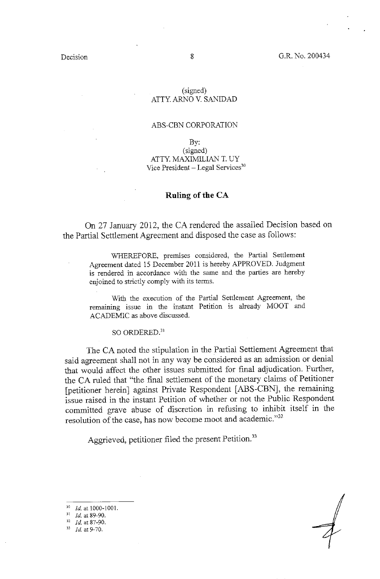## (signed) ATTY. ARNO V. SANIDAD

## ABS-CBN CORPORATION

By: (signed) ATTY. MAXIMILIAN T. UY Vice President - Legal Services<sup>30</sup>

## **Ruling of the CA**

On 27 January 2012, the CA rendered the assailed Decision based on the Partial Settlement Agreement and disposed the case as follows:

WHEREFORE, premises considered, the Partial Settlement Agreement dated 15 December 2011 is hereby APPROVED. Judgment is rendered in accordance with the same and the parties are hereby enjoined to strictly comply with its terms.

With the execution of the Partial Settlement Agreement, the remaining issue in the instant Petition is already MOOT and ACADEMIC as above discussed.

SO ORDERED.<sup>31</sup>

The CA noted the stipulation in the Partial Settlement Agreement that said agreement shall not in any way be considered as an admission or denial that would affect the other issues submitted for final adjudication. Further, the CA ruled that "the final settlement of the monetary claims of Petitioner [petitioner herein] against Private Respondent [ABS-CBN], the remaining issue raised in the instant Petition of whether or not the Public Respondent committed grave abuse of discretion in refusing to inhibit itself in the resolution of the case, has now become moot and academic."<sup>32</sup>

Aggrieved, petitioner filed the present Petition.<sup>33</sup>

<sup>30</sup>*Id.* at 1000-1001. 31 *Id.* at 89-90.

*Id.* at 87-90.

<sup>33</sup> *Id.* at 9-70.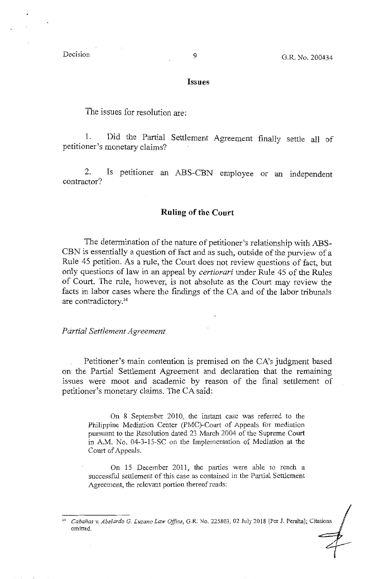### Issues

The issues for resolution are:

1. Did the Partial Settlement Agreement finally settle all of petitioner's monetary claims?

2. Is petitioner an ABS-CBN employee or an independent contractor?

### **Ruling of the Court**

The determination of the nature of petitioner's relationship with ABS-CBN is essentially a question of fact and as such, outside of the purview of a Rule 45 petition. As a rule, the Court does not review questions of fact, but only questions of law in an appeal by *certiorari* under Rule 45 of the Rules of Court. The rule, however, is not absolute as the Court may review the facts in labor cases where. the findings of the CA and of the labor tribunals are contradictory.34

### *Partial Settlement Agreement*

Petitioner's main contention is premised on the CA's judgment based on the Partial Settlement Agreement and declaration that the remaining issues were moot and academic by reason of the final settlement of petitioner's monetary claims. The CA said:

On 8 September 2010, the instant case was referred to the Philippine Mediation Center (PMC)-Court of Appeals for mediation pursuant to the Resolution dated 23 March 2004 of the Supreme Court in A.M. No. 04-3-15-SC on the Implementation of Mediation at the Court of Appeals.

On 15 December 2011, the parties were able to reach a successful settlement of this case as contained in the Partial Settlement Agreement, the relevant portion thereof reads:

<sup>34</sup>*Cabanas v. Abelardo* G. *Luzano Law Office,* G.R. No. 225803, 02 July 2018 [Per J. Peralta]; Citations omitted.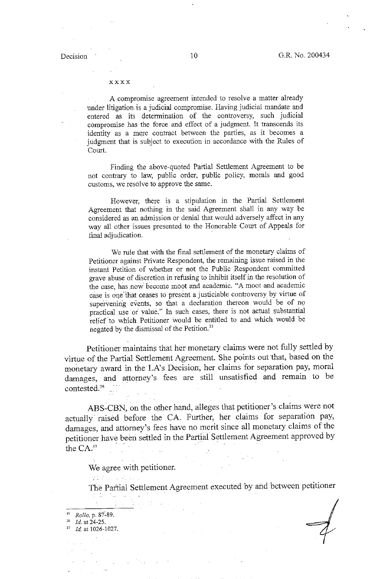### xxxx

A compromise agreement intended to resolve a matter already under litigation is a judicial compromise. Having judicial mandate and entered as its determination of the controversy, such judicial compromise has the force and effect of a judgment. It transcends its identity as a mere contract between the parties, as it becomes a judgment that is subject to execution in accordance with the Rules of Court.

Finding the above-quoted Partial Settlement Agreement to be not contrary to law, public order, public policy, morals and good customs, we resolve to approve the same.

However, there is a stipulation in the Partial Settlement Agreement that nothing in the said Agreement shall in any way be considered as an admission or denial that would adversely affect in any way all other issues presented to the Honorable Court of Appeals for final adjudication.

We rule that with the final settlement of the monetary claims of Petitioner against Private Respondent, the remaining issue raised in the instant Petition of whether or not the Public Respondent committed grave abuse of discretion in refusing to inhibit itself in the resolution of the case, has now become moot and academic. "A moot and academic case is one that ceases to present a justiciable controversy by virtue of supervening events, so that a declaration thereon would be of no practical use or value." In such cases, there is not actual substantial relief to which Petitioner would be entitled to and which would be negated by the dismissal of the Petition. <sup>35</sup>

Petitioner maintains that her monetary claims were not fully settled by virtue of the Partial Settlement Agreement. She points out that, based on the monetary award in the LA's Decision, her claims for separation pay, moral damages, and attorney's fees are still unsatisfied and remain to be contested.<sup>36</sup>

ABS-CBN, on the other hand, alleges that petitioner's claims were not actually· raised before the CA. Further, her claims for separation pay, damages, and attorney's fees have no merit since all monetary claims of the petitioner have been settled in the Partial Settlement Agreement approved by the  $CA^{37}$ 

We agree with petitioner.

The Partial Settlement Agreement executed by and between petitioner

<sup>36</sup> *Id.* at 24-25.

<sup>37</sup> *Id.* at 1026-1027.

<sup>&</sup>quot; *Rollo,* p. 87~89.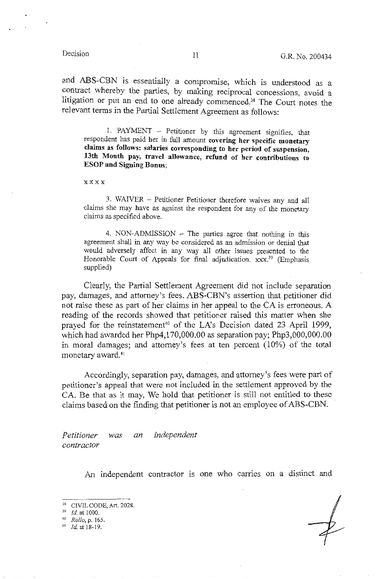and ABS-CBN is essentially a compromise, which is understood as a contract whereby the parties, by making reciprocal concessions, avoid a litigation or put an end to one already commenced.38 The Court notes the relevant terms in the Partial Settlement Agreement as follows:

I. PAYMENT - Petitioner by this agreement signifies, that respondent has paid her in full amount **covering her specific monetary claims as follows: salaries corresponding to her period of suspension, 13th Month pay, travel allowance, refund of her contributions to ESOP and Signing Bonus;** 

xxxx

3. WAIVER - Petitioner Petitioner therefore waives any and all claims she may have as against the respondent for any of the monetary claims as specified above.

4. NON-ADMISSION - The parties agree that nothing in this agreement shall in any way be considered as an admission or denial that would adversely affect in any way all other issues presented to the Honorable Court of Appeals for final adjudication. xxx.<sup>39</sup> (Emphasis supplied)

Clearly, the Partial Settlement Agreement did not include separation pay, damages, and attorney's fees. ABS-CBN's assertion that petitioner did not raise these as part of her claims in her appeal to the CA is erroneous. A reading of the records showed that petitioner raised this matter when she prayed for the reinstatement<sup>40</sup> of the LA's Decision dated 23 April 1999, which had awarded her Php4,l 70,000.00 as separation pay; Php3,000,000.00 in moral damages; and attorney's fees at ten percent (10%) of the total monetary award. <sup>41</sup>

Accordingly, separation pay, damages, and attorney's fees were part of petitioner's appeal that were not included in the settlement approved by the CA. Be that as it may, We hold that petitioner is still not entitled to these claims based on the finding that petitioner is not an employee of ABS-CBN. ·

*Petitioner was an independent contractor* 

An independent contractor is one who carries on a distinct and

<sup>38</sup> CIVIL CODE, Art. 2028. 39 *Id.* at 1000. 40 *Rollo,* p. 165.

 $41$   $1d$  at 18-19.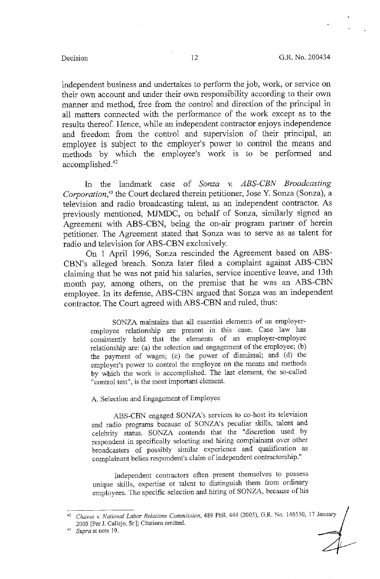independent business and undertakes to perform the job, work, or service on their own account and under their own responsibility according to their own manner and method, free from the control and direction of the principal in all matters connected with the performance of the work except as to the results thereof. Hence, while an independent contractor enjoys independence and freedom from the control and supervision of their principal, an employee is subject to the employer's power to control the means and methods by which the employee's work is to be performed and accomplished.<sup>42</sup>

In the landmark case of *Sonza v. ABS-CBN Broadcasting Corporation,43* the Court declared therein petitioner, Jose Y. Sonza (Sonza), a television and radio broadcasting talent, as an independent contractor. As previously mentioned, MJMDC, on behalf of Sonza, similarly signed an Agreement with ABS-CBN, being the on-air program partner of herein petitioner. The Agreement stated that Sonza was to serve as as talent for radio and television for ABS-CBN exclusively.

On 1 April 1996, Sonza rescinded the Agreement based on ABS-CBN's alleged breach. Sonza later filed a complaint against ABS-CBN claiming that he was not paid his salaries, service incentive leave, and 13th month pay, among others, on the premise that he was an ABS-CBN employee. In its defense, ABS-CBN argued that Sonza was an independent contractor. The Court agreed with ABS-CBN and ruled, thus:

SONZA maintains that all essential elements of an employeremployee relationship are present in this case. Case law has consistently held that the elements of an employer-employee relationship are: (a) the selection and engagement of the employee; (b) the payment of wages; (c) the power of dismissal; and (d) the employer's power to control the employee on the means and methods by which the work is accomplished. The last element, the so-called "control test", is the most important element.

### A. Selection and Engagement of Employee

ABS-CBN engaged SONZA's services to co-host its television and radio programs because of SONZA's peculiar skills, talent and celebrity status. SONZA contends that the "discretion used by respondent in specifically sekcting and hiring complainant over other broadcasters of possibly similar experience and qualification as complainant belies respondent's claim of independent contractorship."

Independent contractors often present themselves to possess unique skills, expertise or talent to distinguish them from ordinary employees. The specific selection and hiring of SONZA, because of his

<sup>42</sup>*Chavez v. National Labor Relations Commission,* 489 Phil. 444 (2005), G.R. No. 146530, 17 January 2005 [Per J. Callejo, Sr.]; Citations omitted.

<sup>&</sup>lt;sup>43</sup> *Supra* at note 19.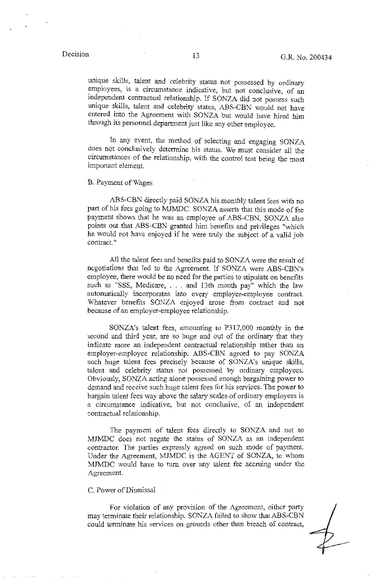unique skills, talent and celebrity status not possessed by ordinary employees, is a circumstance indicative, but not conclusive, of an independent contractual relationship. If SONZA did not possess such unique skills, talent and celebrity status, ABS-CBN would not have entered into the Agreement with SONZA but would have hired him through its personnel department just like any other employee.

In any event, the method of selecting and engaging SONZA does not conclusively determine his status. We must consider all the circumstances of the relationship, with the control test being the most important element.

B. Payment of Wages

ABS-CBN directly paid SONZA his monthly talent fees with no part of his fees going to MJMDC. SONZA asserts that this mode of fee payment shows that he was an employee of ABS-CBN. SONZA also points out that ABS-CBN granted him benefits and privileges "which he would not have enjoyed if he were truly the subject of a valid job contract."

All the talent fees and benefits paid to SONZA were the result of negotiations that led to the Agreement. If SONZA were ABS-CBN's employee, there would be no need for the parties to stipulate on benefits such as "SSS, Medicare, . . . and 13th month pay" which the law automatically incorporates into every employer-employee contract. Whatever benefits SONZA enjoyed arose from contract and not because of an employer-employee relationship.

SONZA's talent fees, amounting to P317,000 monthly in the second and third year, are so huge and out of the ordinary that they indicate more an independent contractual relationship rather than an employer-employee relationship. ABS-CBN agreed to pay SONZA such huge talent fees precisely because of SONZA's unique skills, talent and celebrity status not possessed by ordinary employees. Obviously, SONZA acting alone possessed enough bargaining power to demand and receive such huge talent fees for his services. The power to bargain talent fees way above the salary scales of ordinary employees is a circumstance indicative, but not conclusive, of an independent contractual relationship.

The payment of talent fees directly to SONZA and not to MJMDC does not negate the status of SONZA as an independent contractor. The parties expressly agreed on such mode of payment. Under the Agreement, MJMDC is the AGENT of SONZA, to whom MJMDC would have to turn over any talent fee accruing under the Agreement.

### C. Power of Dismissal

For violation of any provision of the Agreement, either party may terminate their relationship. SONZA failed to show that ABS-CBN could terminate his services on grounds other than breach of contract,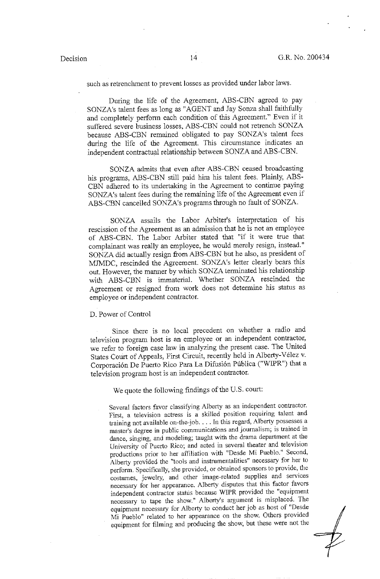such as retrenchment to prevent losses as provided under labor laws.

During the life of the Agreement, ABS-CBN agreed to pay SONZA's talent fees as long as "AGENT and Jay Sonza shall faithfully and completely perfonn each condition of this Agreement." Even if it suffered severe business losses, ABS-CBN could not retrench SONZA because ABS-CBN remained obligated to pay SONZA's talent fees during the life of the Agreement. This circumstance indicates an independent contractual relationship between SONZA and ABS-CBN.

SONZA admits that even after ABS-CBN ceased broadcasting his programs, ABS-CBN still paid him his talent fees. Plainly, ABS-CBN adhered to its undertaking in the Agreement to continue paying SONZA's talent fees during the remaining life of the Agreement even if ABS-CBN cancelled SONZA's programs through no fault of SONZA.

SONZA assails the Labor Arbiter's interpretation of his rescission of the Agreement as an admission that he is not an employee of ABS-CBN. The Labor Arbiter stated that "if it were true that complainant was really an employee, he would merely resign, instead." SONZA did actually resign from ABS-CBN but he also, as president of MJMDC, rescinded the Agreement. SONZA's letter clearly bears this out. However, the manner by which SONZA terminated his relationship with ABS-CBN is immaterial. Whether SONZA rescinded the Agreement or resigned from work does not determine his status as employee or independent contractor.

### D. Power of Control

Since there is no local precedent on whether a radio and television program host is an employee or an independent contractor, we refer to foreign case law in analyzing the present case. The United States Court of Appeals, First Circuit, recently held in Alberty-Velez v. Corporación De Puerto Rico Para La Difusión Pública ("WIPR") that a television program host is an independent contractor.

We quote the following findings of the U.S. court:

Several factors favor classifying Alberty as an independent contractor. First, a television actress is a skilled position requiring talent and training not available on-the-job .... In this regard, Alberty possesses a master's degree in public communications and journalism; is trained in dance, singing, and modeling; taught with the drama department at the University of Puerto Rico; and acted in several theater and television productions prior to her affiliation with "Desde Mi Pueblo." Second, Alberty provided the "tools and instrumentalities" necessary for her to perform. Specifically, she provided, or obtained sponsors to provide, the costumes, jewelry, and other image-related supplies and services necessary for her appearance. Alberty disputes that this factor favors independent contractor status because WIPR provided the "equipment necessary to tape the show." Alberty's argument is misplaced. The equipment necessary for Alberty to conduct her job as host of "Desde Mi Pueblo" related to her appearance on the show. Others provided equipment for filming and producing the show, but these were not the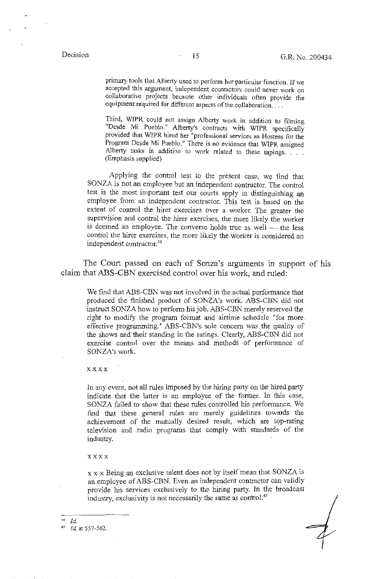primary tools that Alberty used to perform her particular function. If we accepted this argument, independent contractors could never work on collaborative projects because other individuals often provide the equipment required for different aspects of the collaboration....

Third, WIPR could not assign Alberty work in addition to filming "Desde M1 Pueblo." Alberty's contracts with WIPR specifically provided that WIPR hired her "professional services as Hostess for the Program Desde Mi Pueblo." There is no evidence that WIPR assigned b Alberty tasks in addition to work related to these tapings. . . . (Emphasis supplied)

Applying the control test to the present case, we find that SONZA is not an employee but an independent contractor. The control test is the most important test our courts apply in distinguishing an employee from an independent contractor. This test is based on the extent of control the hirer exercises over a worker. The greater the supervision and control the hirer exercises, the more likely the worker is deemed an employee. The converse holds true as well — the less control the hirer exercises, the more likely the worker is considered an independent contractor.<sup>44</sup>

The Court passed on each of Sonza's arguments in support of his claim that ABS-CBN exercised control over his work, and ruled:

We find that ABS-CBN was not involved in the actual performance that produced the finished product of SONZA's work. ABS-CBN did not instruct SONZA how to perform his job. ABS-CBN merely reserved the right to modify the program format and airtime schedule "for more effective programming." ABS-CBN's sole concern was the quality of the shows and their standing in the ratings. Clearly, ABS-CBN did not exercise control over the means and methods of performance of SONZA's work.

xxxx

In any event, not all rules imposed by the hiring party on the hired party indicate that the latter is an employee of the former. In this case, SONZA failed to show that these rules controlled his performance. We find that these general rules are merely guidelines towards the achievement of the mutually desired result, which are top-rating television and radio programs that comply with standards of the industry.

### xxxx

x x x Being an exclusive talent does not by itself mean that SONZA is an employee of ABS-CBN. Even an independent contractor can validly provide his services exclusively to the hiring party. In the broadcast industry, exclusivity is not necessarily the same as control.<sup>45</sup>

# $44$  Id.

45 *!d.* at 557-562.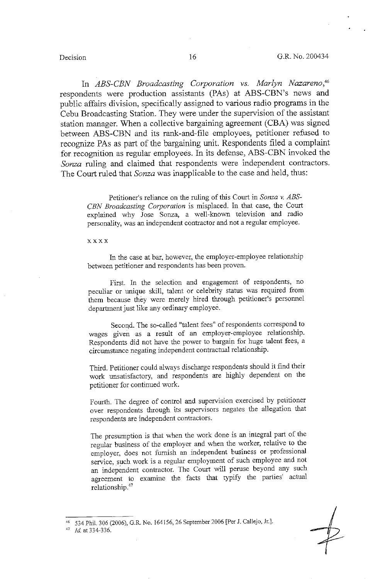In *ABS-CBN Broadcasting Corporation vs. Marlyn Nazareno, <sup>46</sup>* respondents were production assistants (PAs) at ABS-CBN's news and public affairs division, specifically assigned to various radio programs in the Cebu Broadcasting Station. They were under the supervision of the assistant station manager. When a collective bargaining agreement (CBA) was signed between ABS-CBN and its rank-and-file employees, petitioner refused to recognize PAs as part of the bargaining unit. Respondents filed a complaint for recognition as regular employees. In its defense, ABS-CBN invoked the *Sonza* ruling and claimed that respondents were independent contractors. The Court ruled that *Sonza* was inapplicable to the case and held, thus:

> Petitioner's reliance on the ruling of this Court in *Sonza* v. *ABS-CBN Broadcasting Corporation* is misplaced. In that case, the Court explained why Jose Sonza, a well-known television and radio personality, was an independent contractor and not a regular employee.

### xxxx

In the case at bar, however, the employer-employee relationship between petitioner and respondents has been proven.

First. In the selection and engagement of respondents, no peculiar or unique skill, talent or celebrity status was required from them because they were merely hired through petitioner's personnel department just like any ordinary employee.

Second. The so-called "talent fees" of respondents correspond to wages given as a result of an employer-employee relationship. Respondents did not have the power to bargain for huge talent fees, a circumstance negating independent contractual relationship.

Third. Petitioner could always discharge respondents should it find their work unsatisfactory, and respondents are highly dependent on the petitioner for continued work.

Fourth. The degree of control and supervision exercised by petitioner over respondents through its supervisors negates the allegation that respondents are independent contractors.

The presumption is that when the work done is an integral part of the regular business of the employer and when the worker, relative to the employer, does not furnish an independent business or professional service, such work is a regular employment of such employee and not an independent contractor. The Court will peruse beyond any such agreement to examine the facts that typify the parties' actual relationship.<sup>47</sup>

<sup>534</sup> Phil. 306 (2006), G.R. No. 164156, 26 September 2006 [Per J. Callejo, Jr.].

<sup>47</sup> *Id* **at 334-336.**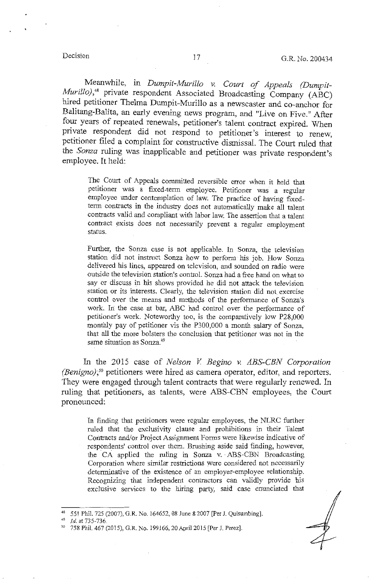Meanwhile, in *Dumpit-Murillo v. Court of Appeals (Dumpit-Murillo*),<sup>48</sup> private respondent Associated Broadcasting Company (ABC) hired petitioner Thelma Dumpit-Murillo as a newscaster and co-anchor for Balitang-Balita, an early evening news program, and "Live on Five." After four years of repeated renewals, petitioner's talent contract expired. When private respondent did not respond to petitioner's interest to renew, petitioner filed a complaint for constructive dismissal. The Court ruled that the *Sonza* ruling was inapplicable and petitioner was private respondent's employee. It held:

The Court of Appeals committed reversible error when it held that petitioner was a fixed-term employee. Petitioner was a regular employee under contemplation of law. The practice of having fixedterm contracts in the industry does not automatically make all talent contracts valid and compliant with labor law. The assertion that a talent contract exists does not necessarily prevent a regular employment status.

Further, the Sonza case is not applicable. In Sonza, the television station did not instruct Sonza how to perform his job. How Sonza delivered his lines, appeared on television, and sounded on radio were outside the television station's control. Sonza had a free hand on what to say or discuss in his shows provided he did not attack the television station or its interests. Clearly, the television station did not exercise control over the means and methods of the performance of Sonza's work. In the case at bar, ABC had control over the performance of petitioner's work. Noteworthy too, is the comparatively low P28,000 monthly pay of petitioner vis the P300,000 a month salary of Sonza, that all the more bolsters the conclusion that petitioner was not in the same situation as Sonza.<sup>49</sup>

In the 2015 case of *Nelson V. Begino v. ABS-CBN Corporation (Benigno)*;<sup>50</sup> petitioners were hired as camera operator, editor, and reporters. They were engaged through talent contracts that were regularly renewed. In ruling that petitioners, as talents, were ABS-CBN employees, the Court pronounced:

In finding that petitioners were regular employees, the NLRC further ruled that the exclusivity clause and prohibitions in their Talent Contracts and/or Project Assignment Forms were likewise indicative of respondents' control over them. Brushing aside said finding, however, the CA applied the ruling in Sonza v. ABS-CBN Broadcasting Corporation where similar restrictions were considered not necessarily determinative of the existence of an employer-employee relationship. Recognizing that independent contractors can validly provide his exclusive services to the hiring party, said case enunciated that

<sup>&</sup>quot; 551 Phil. 725 (2007), G.R. No. 164652, 08 June 8 2007 [Per J. Quisumbing].

Id. at 735-736.

<sup>&</sup>lt;sup>50</sup> 758 Phil. 467 (2015), G.R. No. 199166, 20 April 2015 [Per J. Perez].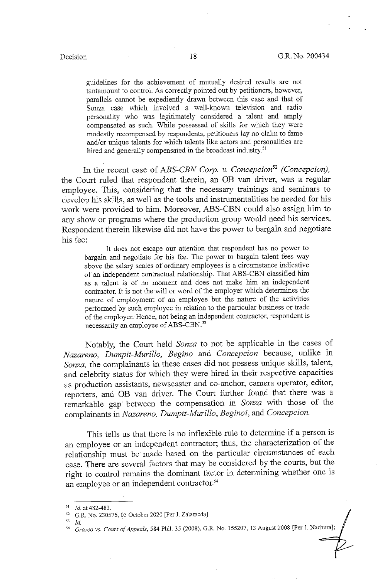guidelines for the achievement of mutually desired results are not tantamount to control. As correctly pointed out by petitioners, however, parallels cannot be expediently drawn between this case and that of Sonza case which involved a well-known television and radio personality who was legitimately considered a talent and amply compensated as such. While possessed of skills for which they were modestly recompensed by respondents, petitioners lay no claim to fame and/or unique talents for which talents like actors and personalities are hired and generally compensated in the broadcast industry.<sup>51</sup>

In the recent case of *ABS-CBN Corp.* v. *Concepcion52 (Concepcion),*  the Court ruled that respondent therein, an OB van driver, was a regular employee. This, considering that the necessary trainings and seminars to develop his skills, as well as the tools and instrumentalities he needed for his work were provided to him. Moreover, ABS-CBN could also assign him to any show or programs where the production group would need his services. Respondent therein likewise did not have the power to bargain and negotiate his fee:

It does not escape our attention that respondent has no power to bargain and negotiate for his fee. The power to bargain talent fees way above the salary scales of ordinary employees is a circumstance indicative of an independent contractual relationship. That ABS-CBN classified him as a talent is of no moment and does not make him an independent contractor. It is not the will or word of the employer which determines the nature of employment of an employee but the nature of the activities performed by such employee in relation to the particular business or trade of the employer. Hence, not being an independent contractor, respondent is necessarily an employee of ABS-CBN.<sup>53</sup>

Notably, the Court held *Sonza* to not be applicable in the cases of *Nazareno, Dumpit-Murillo, Begino* and *Concepcion* because, unlike in *Sonza,* the complainants in these cases did not possess unique skills, talent, and celebrity status for which they were hired in their respective capacities as production assistants, newscaster and co-anchor, camera operator, editor, reporters, and **OB** van driver. The Court further found that there was a remarkable gap between the compensation in *Sonza* with those of the complainants in *Nazareno, Dumpit-Murillo, Beginoi,* and *Concepcion.* 

This tells us that there is no inflexible rule to determine if a person is an employee or an independent contractor; thus, the characterization of the relationship must be made based on the particular circumstances of each case. There are several factors that may be considered by the courts, but the right to control remains the dominant factor in determining whether one is an employee or an independent contractor.<sup>54</sup>

<sup>&</sup>lt;sup>51</sup> *Id.* at 482-483.<br><sup>52</sup> G.R. No. 230576, 05 October 2020 [Per J. Zalameda].

<sup>&</sup>quot; *Id.* .

<sup>&</sup>quot; *Orozco vs. Court of Appeals,* 584 Phil. 35 (2008), G.R. No. 155207, 13 August 2008 [Per J. Nachura];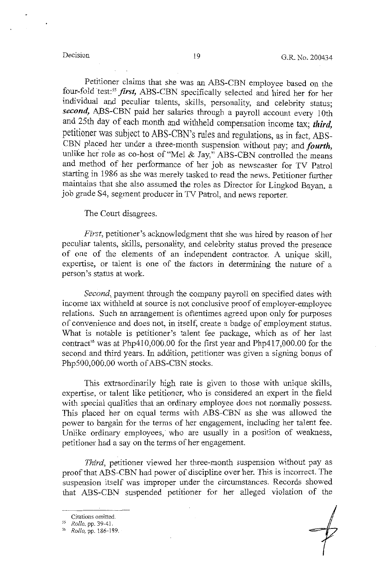Petitioner claims that she was an ABS-CBN employee based on the four-fold test:55 *first,* ABS-CBN specifically selected and hired her for her individual and peculiar talents, skills, personality, and celebrity status; second, ABS-CBN paid her salaries through a payroll account every 10th and 25th day of each month and withheld compensation income tax; third, petitioner was subject to ABS-CBN's rules and regulations, as in fact, ABS-CBN placed her under a three-month suspension without pay; and *fourth,*  unlike her role as co-host of "Mel & Jay," ABS-CBN controlled the means and method of her performance of her job as newscaster for TV Patrol starting in 1986 as she was merely tasked to read the news. Petitioner further maintains that she also assumed the roles as Director for Lingkod Bayan, a job grade S4, segment producer in TV Patrol, and news reporter.

The Court disagrees.

*First,* petitioner's acknowledgment that she was hired by reason of her peculiar talents, skills, personality, and celebrity status proved the presence of one of the elements of an independent contractor. A unique skill, expertise, or talent is one of the factors in determining the nature of a person's status at work.

*Second,* payment through the company payroll on specified dates with income tax withheld at source is not conclusive proof of employer-employee relations. Such an arrangement is oftentimes agreed upon only for purposes of convenience and does not, in itself, create a badge of employment status. What is notable is petitioner's talent fee package, which as of her last contract<sup>56</sup> was at Php410,000.00 for the first year and Php417,000.00 for the second.and third years. In addition, petitioner was given a signing bonus of PhpS00,000.00 worth of ABS-CBN stocks.

This extraordinarily high rate is given to those with unique skills, expertise, or talent like petitioner, who is considered an expert in the field with special qualities that an ordinary employee does not normally possess. This placed her on equal terms with ABS-CBN as she was allowed the power to bargain for the terms of her engagement, including her talent fee. Unlike ordinary employees, who are usually in a position of weakness, petitioner had a say on the terms of her engagement.

*Third,* petitioner viewed her three-month suspension without pay as proof that ABS-CBN had power of discipline over her. This is incorrect. The suspension itself was improper under the circumstances. Records showed that ABS-CBN suspended petitioner for her alleged violation of the

**Citations omitted.** 

<sup>55</sup>*Rollo,* pp. 39-41.

<sup>&</sup>quot; *Rollo,* pp. 186-189.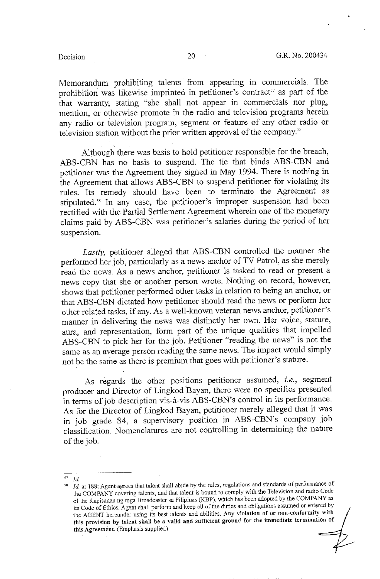Memorandum prohibiting talents from appearing in commercials. The prohibition was likewise imprinted in petitioner's contract<sup>57</sup> as part of the that warranty, stating "she shall not appear in commercials nor plug, mention, or otherwise promote in the radio and television programs herein any radio or television program, segment or feature of any other radio or television station without the prior written approval of the company."

Although there was basis to hold petitioner responsible for the breach, ABS-CBN has no basis to suspend. The tie that binds ABS-CBN and petitioner was the Agreement they signed in May 1994. There is nothing in the Agreement that allows ABS-CBN to suspend petitioner for violating its rules. Its remedy should have been to terminate the Agreement as stipulated.58 In any case, the petitioner's improper suspension had been rectified with the Partial Settlement Agreement wherein one of the monetary claims paid by ABS-CBN was petitioner's salaries during the period of her suspension.

*Lastly,* petitioner alleged that ABS-CBN controlled the manner she performed her job, particularly as a news anchor of TV Patrol, as she merely read the news. As a news anchor, petitioner is tasked to read or present a news copy that she or another person wrote. Nothing on record, however, shows that petitioner performed other tasks in relation to being an anchor, or that ABS-CBN dictated how petitioner should read the news or perform her other related tasks, if any. As a well-known veteran news anchor, petitioner's manner in delivering the news was distinctly her own. Her voice, stature, aura, and representation, form part of the unique qualities that impelled ABS-CBN to pick her for the job. Petitioner "reading the news" is not the same as. an average person reading the same news. The impact would simply not be the same as there is premium that goes with petitioner's stature.

As regards the other positions petitioner assumed, *i.e.,* segment producer and Director of Lingkod Bayan, there were no specifics presented in terms of job description vis-a-vis ABS-CBN's control in its performance. As for the Director of Lingkod Bayan, petitioner merely alleged that it was in job grade S4, a supervisory position in ABS-CBN's company job classification. Nomenclatures are not controlling in determining the nature of the job.

*s1* **Id** 

<sup>58</sup>**Jd. at 188; Agent-agrees that talent shall abide by the rules, regulations and standards of performance of**  the COMPANY covering talents, and that talent is bound to comply with the Television and radio Code of the Kapisanan ng mga Broadcaster sa Pilipinas (KBP), which has been adopted by the COMPANY as its Code of Ethics. Agent shall perform and keep all of the duties and obligations assumed or entered by the AGENT hereunder using its best talents and abilities. Any violation of or non-conformity with this provision by talent shall be a valid and sufficient ground for the immediate termination of this Agreement. (Emphasis supplied)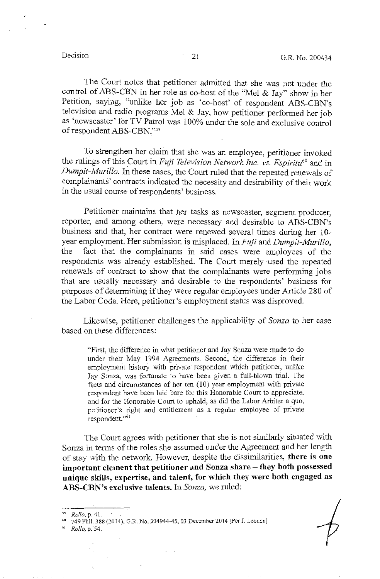The Court notes that petitioner admitted that she was not under the control of ABS-CBN in her role as co-host of the "Mel & Jay" show in her Petition, saying, "unlike her job as 'co-host' of respondent ABS-CBN's television and radio programs Mel & Jay, how petitioner performed her job as 'newscaster' for TV Patrol was 100% under the sole and exclusive control of respondent ABS-CBN."59

To strengthen her claim that she was an employee, petitioner invoked the rulings of this Court in *Fuji Television Network Inc. vs. Espiritu60* and in *Dumpit-Afurillo.* In these cases, the Court ruled that the repeated renewals of complainants' contracts indicated the necessity and desirability of their work in the usual course of respondents' business.

Petitioner maintains that her tasks as newscaster, segment producer, reporter, and among others, were necessary and desirable to ABS-CBN's business and that, her contract were renewed several times during her 10 year employment. Her submission is misplaced. In *Fuji* and *Dumpit-Murillo,*  the fact that 1he complainants in said cases were employees of the respondents was already established. The Court merely used the repeated renewals of contract to show that the complainants were performing jobs that are usually necessary and desirable to the respondents' business for purposes of determining if they were regular employees under Article 280 of the Labor Code. Here, petitioner's employment status was disproved.

Likewise, petitioner challenges the applicability of *Sonza* to her case based on these differences:

"First, the differerice in what petitioner and Jay Sonza were made to do under their May 1994 Agreements. Second, the difference in their employment history with private respondent which petitioner, unlike Jay Sonza, was fortunate to have been given a full-blown trial. The facts and circumstances of her ten (10) year employment with private respondent have been laid bare for this Honorable Court to appreciate, and for the Honorable Court to uphold, as did the Labor Arbiter a quo, petitioner's right and entitlement as a regular employee of private respondent. "61

The Court agrees with petitioner that she is not similarly situated with Sonza in terms of the roles she assumed under the Agreement and her length of stay with the network. However, despite the dissimilarities, **there is one**  important element that petitioner and Sonza share - they both possessed **unique skills, expertise, and talent, for which they were both engaged as ABS-CBN's exclusive talents.** In *Sonza,* we ruled:

<sup>59</sup>*Rollo,* p. 41. 60 749 Phil. 388 (2014), G.R. No. 204944-45, 03 December 2014 [Per J. Leanen] 61 *Rollo,* p."54.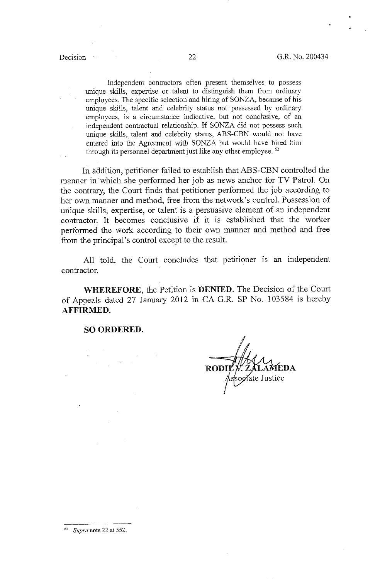Independent contractors often present themselves to possess unique skills, expertise or talent to distinguish them from ordinary employees. The specific selection and hiring of SONZA, because of his unique skills, talent and celebrity status not possessed by ordinary employees, is a circumstance indicative, but not conclusive, of an independent contractual relationship. If SONZA did not possess such unique skills, talent and celebrity status, ABS-CBN would not have entered into the Agreement with SONZA but would have hired him through its personnel department just like any other employee. <sup>62</sup>

In addition, petitioner failed to establish that ABS-CBN controlled the manner in which she performed her job as news anchor for TV Patrol. On the contrary, the Court finds that petitioner performed the job according to her own manner and method, free from the network's control. Possession of unique skills, expertise, or talent is a persuasive element of an independent contractor. It becomes conclusive if it is established that the worker performed the work according to their own manner and method and free from the principal's control except to the result.

All told, the Court concludes that petitioner is an independent contractor.

**WHEREFORE,** the Petition is **DENIED.** The Decision of the Court of Appeals dated 27 January 2012 in CA-G.R. SP No. 103584 is hereby **AFFIRMED.** 

**SO ORDERED.** 

**EDA**  ate Justice

62 *Supra* **note 22 at 552.**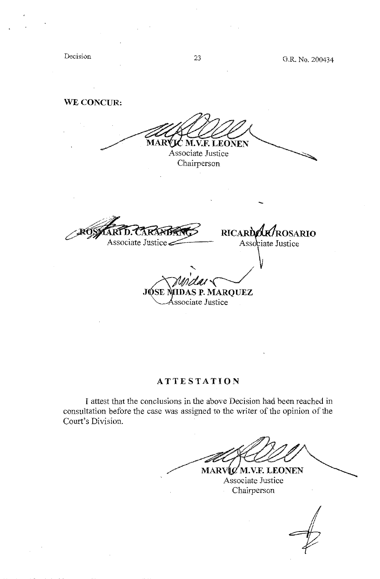Decision

## **WE CONCUR:**

MARVIC M.V.F. LEONEN Associate Justice Chairperson - **RICARDOK/ROSARIO** RA Associate Justice Associate Justice  $\frac{1}{\sqrt{2}}$ 

## **ATTESTATION**

Associate Justice

I attest that the conclusions in the above Decision had been reached in consultation before the case was assigned to the writer of the opinion of the Court's Division.

MARVIC M.V.F. LEONEN

Associate Justice Chairperson